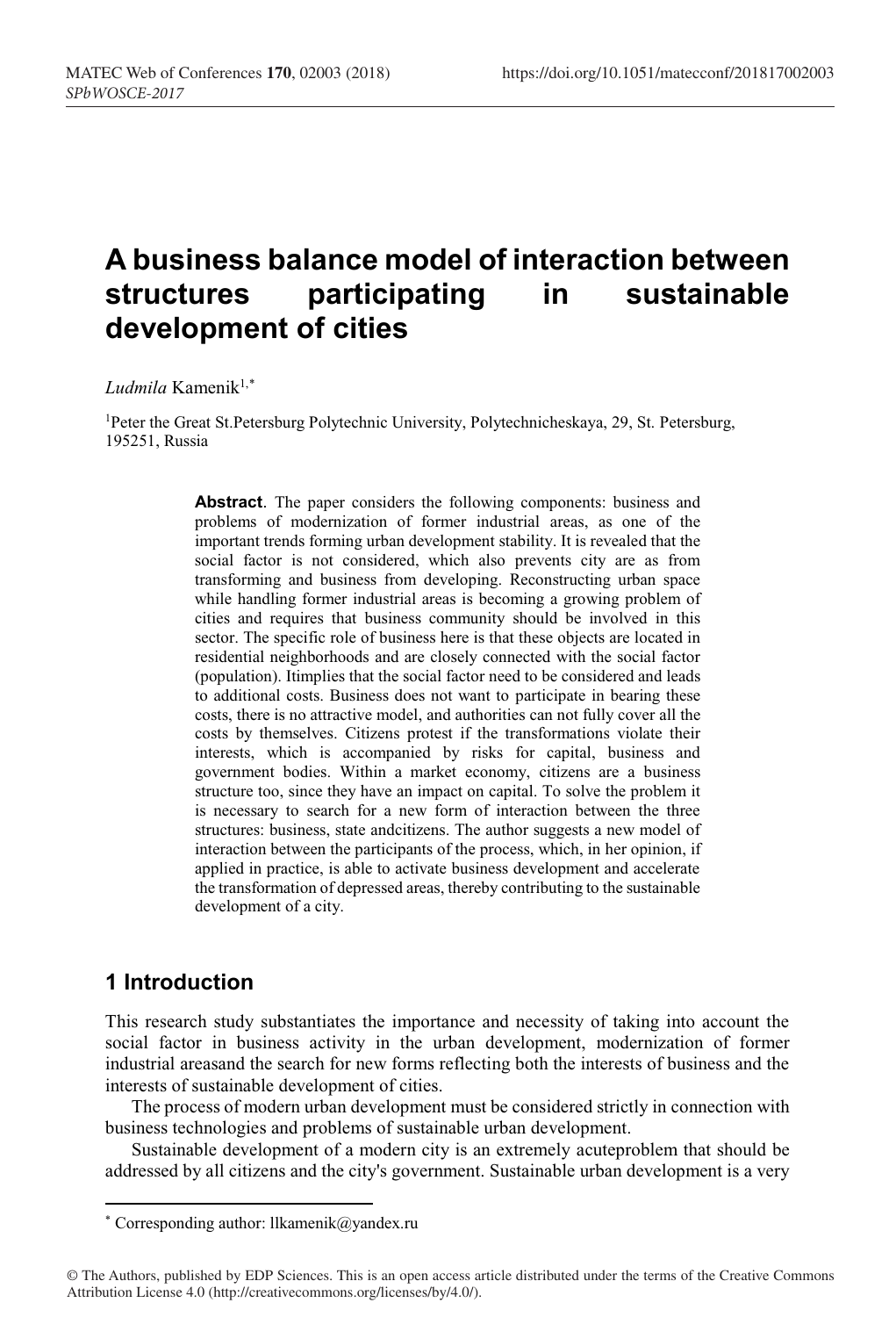# **A business balance model of interaction between structures participating in sustainable development of cities**

*Ludmila* Kamenik1,\*

1Peter the Great St.Petersburg Polytechnic University, Polytechnicheskaya, 29, St. Petersburg, 195251, Russia

> **Abstract**. The paper considers the following components: business and problems of modernization of former industrial areas, as one of the important trends forming urban development stability. It is revealed that the social factor is not considered, which also prevents city are as from transforming and business from developing. Reconstructing urban space while handling former industrial areas is becoming a growing problem of cities and requires that business community should be involved in this sector. The specific role of business here is that these objects are located in residential neighborhoods and are closely connected with the social factor (population). Itimplies that the social factor need to be considered and leads to additional costs. Business does not want to participate in bearing these costs, there is no attractive model, and authorities can not fully cover all the costs by themselves. Citizens protest if the transformations violate their interests, which is accompanied by risks for capital, business and government bodies. Within a market economy, citizens are a business structure too, since they have an impact on capital. To solve the problem it is necessary to search for a new form of interaction between the three structures: business, state andcitizens. The author suggests a new model of interaction between the participants of the process, which, in her opinion, if applied in practice, is able to activate business development and accelerate the transformation of depressed areas, thereby contributing to the sustainable development of a city.

## **1 Introduction**

 $\overline{\phantom{a}}$ 

This research study substantiates the importance and necessity of taking into account the social factor in business activity in the urban development, modernization of former industrial areasand the search for new forms reflecting both the interests of business and the interests of sustainable development of cities.

The process of modern urban development must be considered strictly in connection with business technologies and problems of sustainable urban development.

Sustainable development of a modern city is an extremely acuteproblem that should be addressed by all citizens and the city's government. Sustainable urban development is a very

<sup>\*</sup> Corresponding author: llkamenik@yandex.ru

<sup>©</sup> The Authors, published by EDP Sciences. This is an open access article distributed under the terms of the Creative Commons Attribution License 4.0 (http://creativecommons.org/licenses/by/4.0/).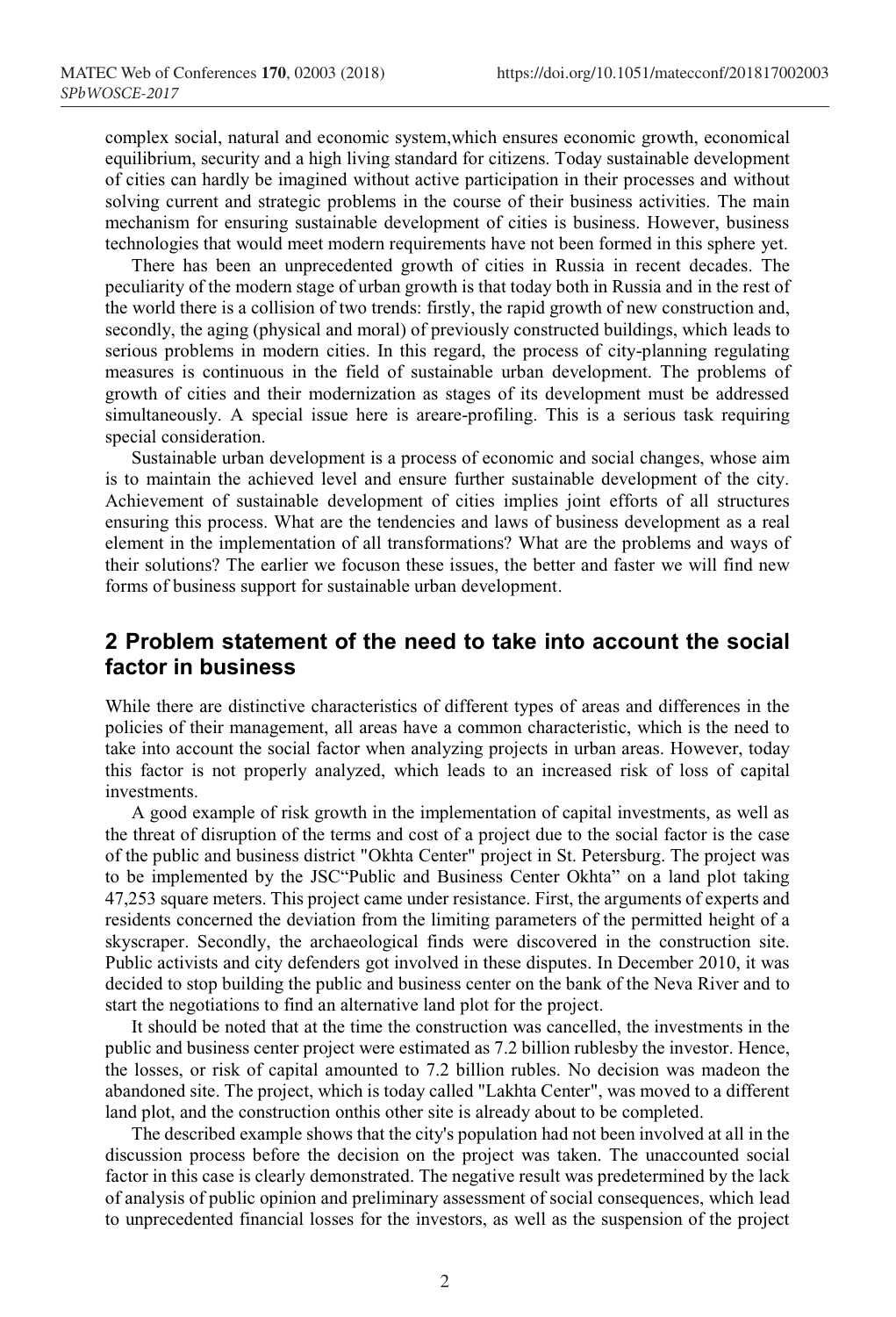complex social, natural and economic system,which ensures economic growth, economical equilibrium, security and a high living standard for citizens. Today sustainable development of cities can hardly be imagined without active participation in their processes and without solving current and strategic problems in the course of their business activities. The main mechanism for ensuring sustainable development of cities is business. However, business technologies that would meet modern requirements have not been formed in this sphere yet.

There has been an unprecedented growth of cities in Russia in recent decades. The peculiarity of the modern stage of urban growth is that today both in Russia and in the rest of the world there is a collision of two trends: firstly, the rapid growth of new construction and, secondly, the aging (physical and moral) of previously constructed buildings, which leads to serious problems in modern cities. In this regard, the process of city-planning regulating measures is continuous in the field of sustainable urban development. The problems of growth of cities and their modernization as stages of its development must be addressed simultaneously. A special issue here is areare-profiling. This is a serious task requiring special consideration.

Sustainable urban development is a process of economic and social changes, whose aim is to maintain the achieved level and ensure further sustainable development of the city. Achievement of sustainable development of cities implies joint efforts of all structures ensuring this process. What are the tendencies and laws of business development as a real element in the implementation of all transformations? What are the problems and ways of their solutions? The earlier we focuson these issues, the better and faster we will find new forms of business support for sustainable urban development.

# **2 Problem statement of the need to take into account the social factor in business**

While there are distinctive characteristics of different types of areas and differences in the policies of their management, all areas have a common characteristic, which is the need to take into account the social factor when analyzing projects in urban areas. However, today this factor is not properly analyzed, which leads to an increased risk of loss of capital investments.

A good example of risk growth in the implementation of capital investments, as well as the threat of disruption of the terms and cost of a project due to the social factor is the case of the public and business district "Okhta Center" project in St. Petersburg. The project was to be implemented by the JSC"Public and Business Center Okhta" on a land plot taking 47,253 square meters. This project came under resistance. First, the arguments of experts and residents concerned the deviation from the limiting parameters of the permitted height of a skyscraper. Secondly, the archaeological finds were discovered in the construction site. Public activists and city defenders got involved in these disputes. In December 2010, it was decided to stop building the public and business center on the bank of the Neva River and to start the negotiations to find an alternative land plot for the project.

It should be noted that at the time the construction was cancelled, the investments in the public and business center project were estimated as 7.2 billion rublesby the investor. Hence, the losses, or risk of capital amounted to 7.2 billion rubles. No decision was madeon the abandoned site. The project, which is today called "Lakhta Center", was moved to a different land plot, and the construction onthis other site is already about to be completed.

The described example shows that the city's population had not been involved at all in the discussion process before the decision on the project was taken. The unaccounted social factor in this case is clearly demonstrated. The negative result was predetermined by the lack of analysis of public opinion and preliminary assessment of social consequences, which lead to unprecedented financial losses for the investors, as well as the suspension of the project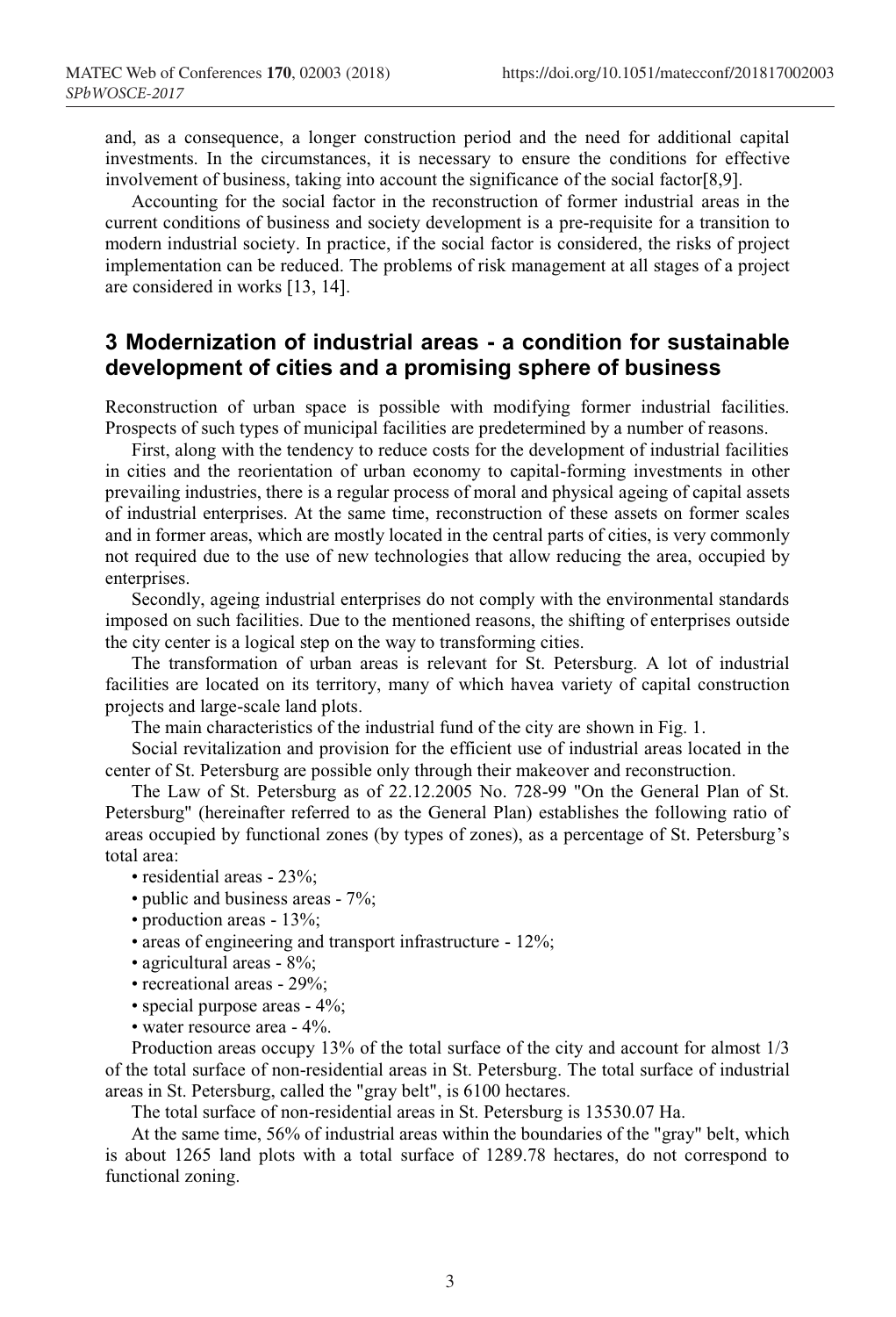and, as a consequence, a longer construction period and the need for additional capital investments. In the сircumstances, it is necessary to ensure the conditions for effective involvement of business, taking into account the significance of the social factor[8,9].

Accounting for the social factor in the reconstruction of former industrial areas in the current conditions of business and society development is a pre-requisite for a transition to modern industrial society. In practice, if the social factor is considered, the risks of project implementation can be reduced. The problems of risk management at all stages of a project are considered in works [13, 14].

#### **3 Modernization of industrial areas - a condition for sustainable development of cities and a promising sphere of business**

Reconstruction of urban space is possible with modifying former industrial facilities. Prospects of such types of municipal facilities are predetermined by a number of reasons.

First, along with the tendency to reduce costs for the development of industrial facilities in cities and the reorientation of urban economy to capital-forming investments in other prevailing industries, there is a regular process of moral and physical ageing of capital assets of industrial enterprises. At the same time, reconstruction of these assets on former scales and in former areas, which are mostly located in the central parts of cities, is very commonly not required due to the use of new technologies that allow reducing the area, occupied by enterprises.

Secondly, ageing industrial enterprises do not comply with the environmental standards imposed on such facilities. Due to the mentioned reasons, the shifting of enterprises outside the city center is a logical step on the way to transforming cities.

The transformation of urban areas is relevant for St. Petersburg. A lot of industrial facilities are located on its territory, many of which havea variety of capital construction projects and large-scale land plots.

The main characteristics of the industrial fund of the city are shown in Fig. 1.

Social revitalization and provision for the efficient use of industrial areas located in the center of St. Petersburg are possible only through their makeover and reconstruction.

The Law of St. Petersburg as of 22.12.2005 No. 728-99 "On the General Plan of St. Petersburg" (hereinafter referred to as the General Plan) establishes the following ratio of areas occupied by functional zones (by types of zones), as a percentage of St. Petersburg's total area:

- residential areas 23%;
- public and business areas 7%;
- production areas 13%;
- areas of engineering and transport infrastructure 12%;
- agricultural areas 8%;
- recreational areas 29%;
- special purpose areas 4%;
- water resource area 4%.

Production areas occupy 13% of the total surface of the city and account for almost 1/3 of the total surface of non-residential areas in St. Petersburg. The total surface of industrial areas in St. Petersburg, called the "gray belt", is 6100 hectares.

The total surface of non-residential areas in St. Petersburg is 13530.07 Ha.

At the same time, 56% of industrial areas within the boundaries of the "gray" belt, which is about 1265 land plots with a total surface of 1289.78 hectares, do not correspond to functional zoning.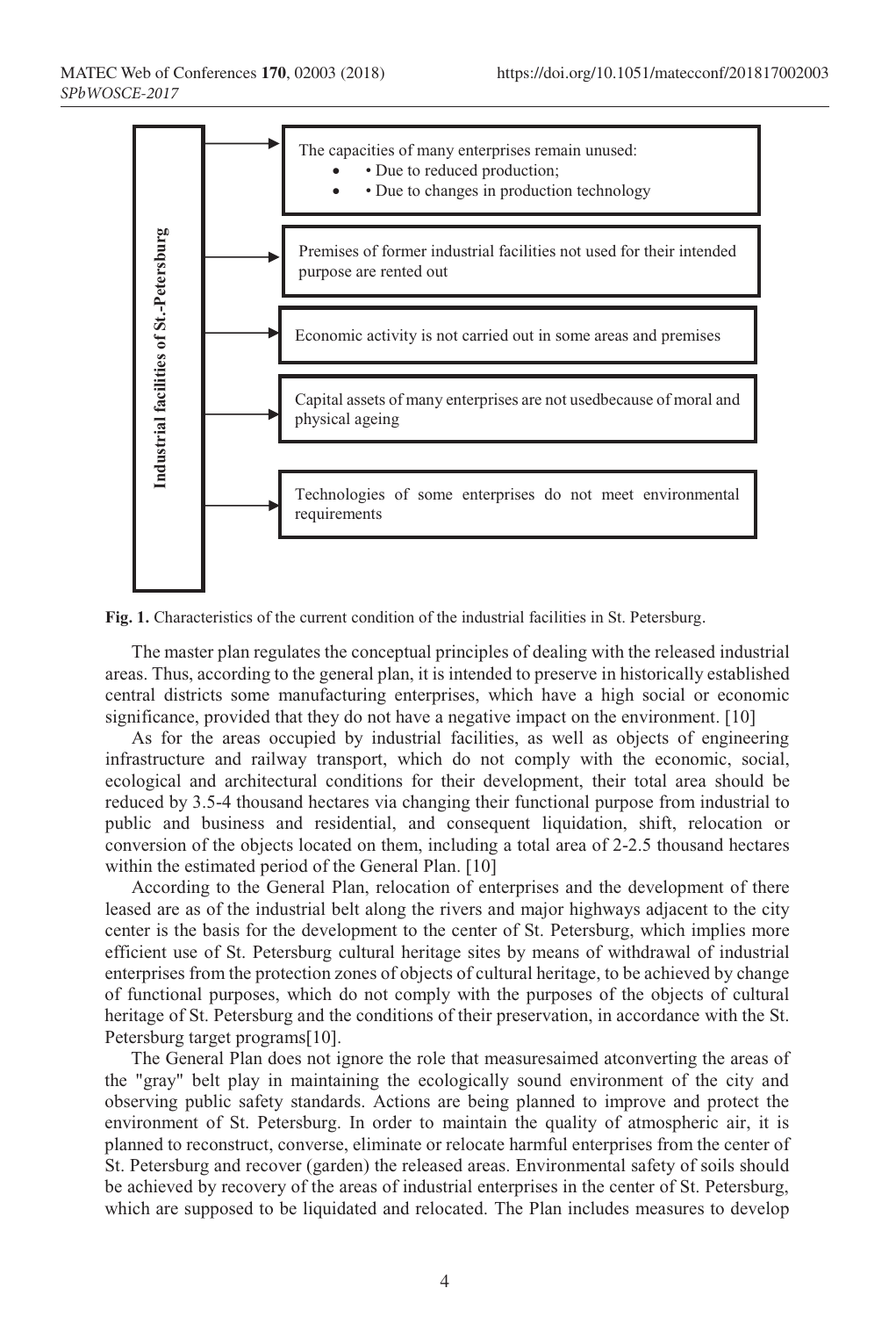



The master plan regulates the conceptual principles of dealing with the released industrial areas. Thus, according to the general plan, it is intended to preserve in historically established central districts some manufacturing enterprises, which have a high social or economic significance, provided that they do not have a negative impact on the environment. [10]

As for the areas occupied by industrial facilities, as well as objects of engineering infrastructure and railway transport, which do not comply with the economic, social, ecological and architectural conditions for their development, their total area should be reduced by 3.5-4 thousand hectares via changing their functional purpose from industrial to public and business and residential, and consequent liquidation, shift, relocation or conversion of the objects located on them, including a total area of 2-2.5 thousand hectares within the estimated period of the General Plan. [10]

According to the General Plan, relocation of enterprises and the development of there leased are as of the industrial belt along the rivers and major highways adjacent to the city center is the basis for the development to the center of St. Petersburg, which implies more efficient use of St. Petersburg cultural heritage sites by means of withdrawal of industrial enterprises from the protection zones of objects of cultural heritage, to be achieved by change of functional purposes, which do not comply with the purposes of the objects of cultural heritage of St. Petersburg and the conditions of their preservation, in accordance with the St. Petersburg target programs[10].

The General Plan does not ignore the role that measuresaimed atconverting the areas of the "gray" belt play in maintaining the ecologically sound environment of the city and observing public safety standards. Actions are being planned to improve and protect the environment of St. Petersburg. In order to maintain the quality of atmospheric air, it is planned to reconstruct, converse, eliminate or relocate harmful enterprises from the center of St. Petersburg and recover (garden) the released areas. Environmental safety of soils should be achieved by recovery of the areas of industrial enterprises in the center of St. Petersburg,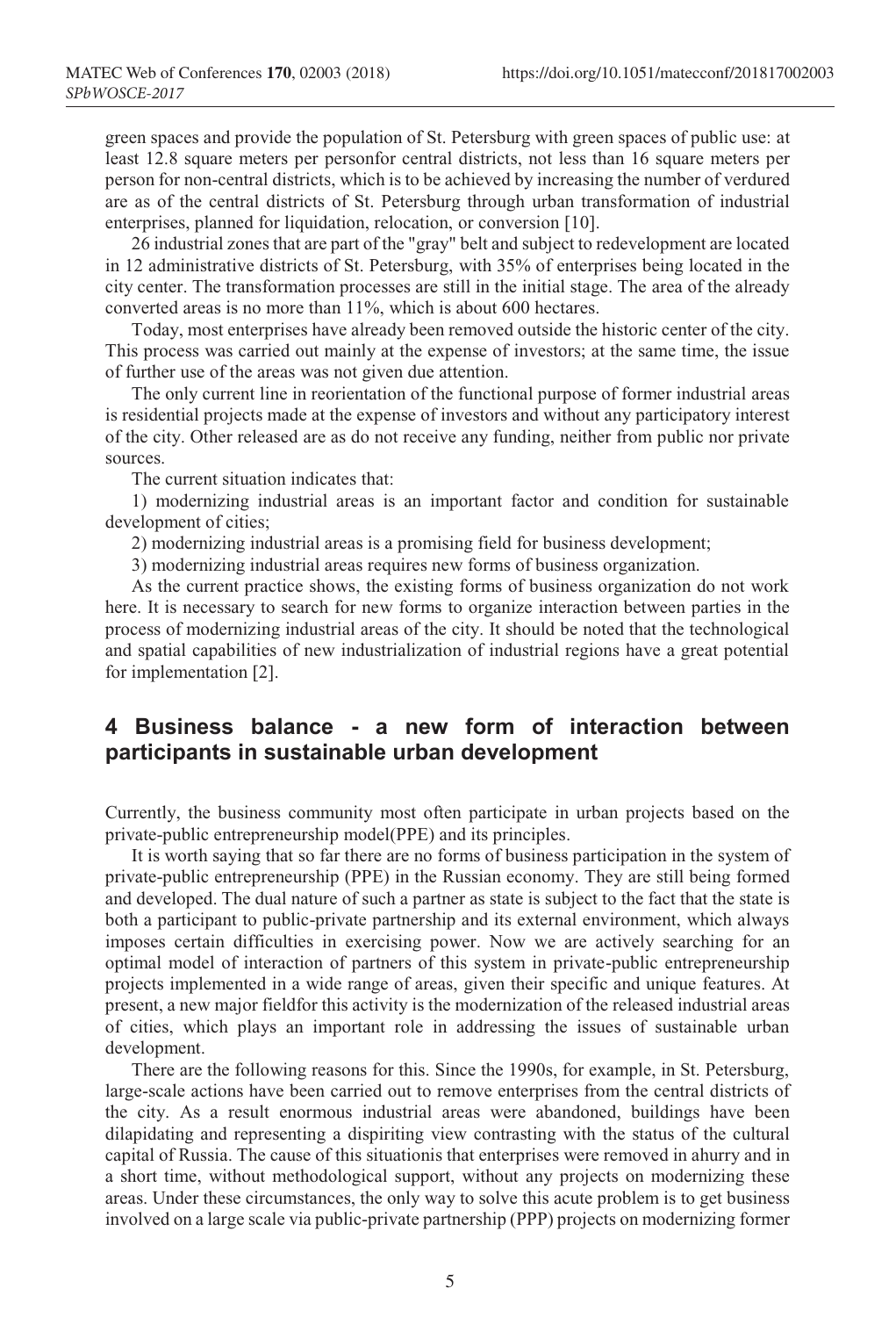green spaces and provide the population of St. Petersburg with green spaces of public use: at least 12.8 square meters per personfor central districts, not less than 16 square meters per person for non-central districts, which is to be achieved by increasing the number of verdured are as of the central districts of St. Petersburg through urban transformation of industrial enterprises, planned for liquidation, relocation, or conversion [10].

26 industrial zones that are part of the "gray" belt and subject to redevelopment are located in 12 administrative districts of St. Petersburg, with 35% of enterprises being located in the city center. The transformation processes are still in the initial stage. The area of the already converted areas is no more than 11%, which is about 600 hectares.

Today, most enterprises have already been removed outside the historic center of the city. This process was carried out mainly at the expense of investors; at the same time, the issue of further use of the areas was not given due attention.

The only current line in reorientation of the functional purpose of former industrial areas is residential projects made at the expense of investors and without any participatory interest of the city. Other released are as do not receive any funding, neither from public nor private sources.

The current situation indicates that:

1) modernizing industrial areas is an important factor and condition for sustainable development of cities;

2) modernizing industrial areas is a promising field for business development;

3) modernizing industrial areas requires new forms of business organization.

As the current practice shows, the existing forms of business organization do not work here. It is necessary to search for new forms to organize interaction between parties in the process of modernizing industrial areas of the city. It should be noted that the technological and spatial capabilities of new industrialization of industrial regions have a great potential for implementation [2].

## **4 Business balance - a new form of interaction between participants in sustainable urban development**

Currently, the business community most often participate in urban projects based on the private-public entrepreneurship model(PPE) and its principles.

It is worth saying that so far there are no forms of business participation in the system of private-public entrepreneurship (PPE) in the Russian economy. They are still being formed and developed. The dual nature of such a partner as state is subject to the fact that the state is both a participant to public-private partnership and its external environment, which always imposes certain difficulties in exercising power. Now we are actively searching for an optimal model of interaction of partners of this system in private-public entrepreneurship projects implemented in a wide range of areas, given their specific and unique features. At present, a new major fieldfor this activity is the modernization of the released industrial areas of cities, which plays an important role in addressing the issues of sustainable urban development.

There are the following reasons for this. Since the 1990s, for example, in St. Petersburg, large-scale actions have been carried out to remove enterprises from the central districts of the city. As a result enormous industrial areas were abandoned, buildings have been dilapidating and representing a dispiriting view contrasting with the status of the cultural capital of Russia. The cause of this situationis that enterprises were removed in ahurry and in a short time, without methodological support, without any projects on modernizing these areas. Under these circumstances, the only way to solve this acute problem is to get business involved on a large scale via public-private partnership (PPP) projects on modernizing former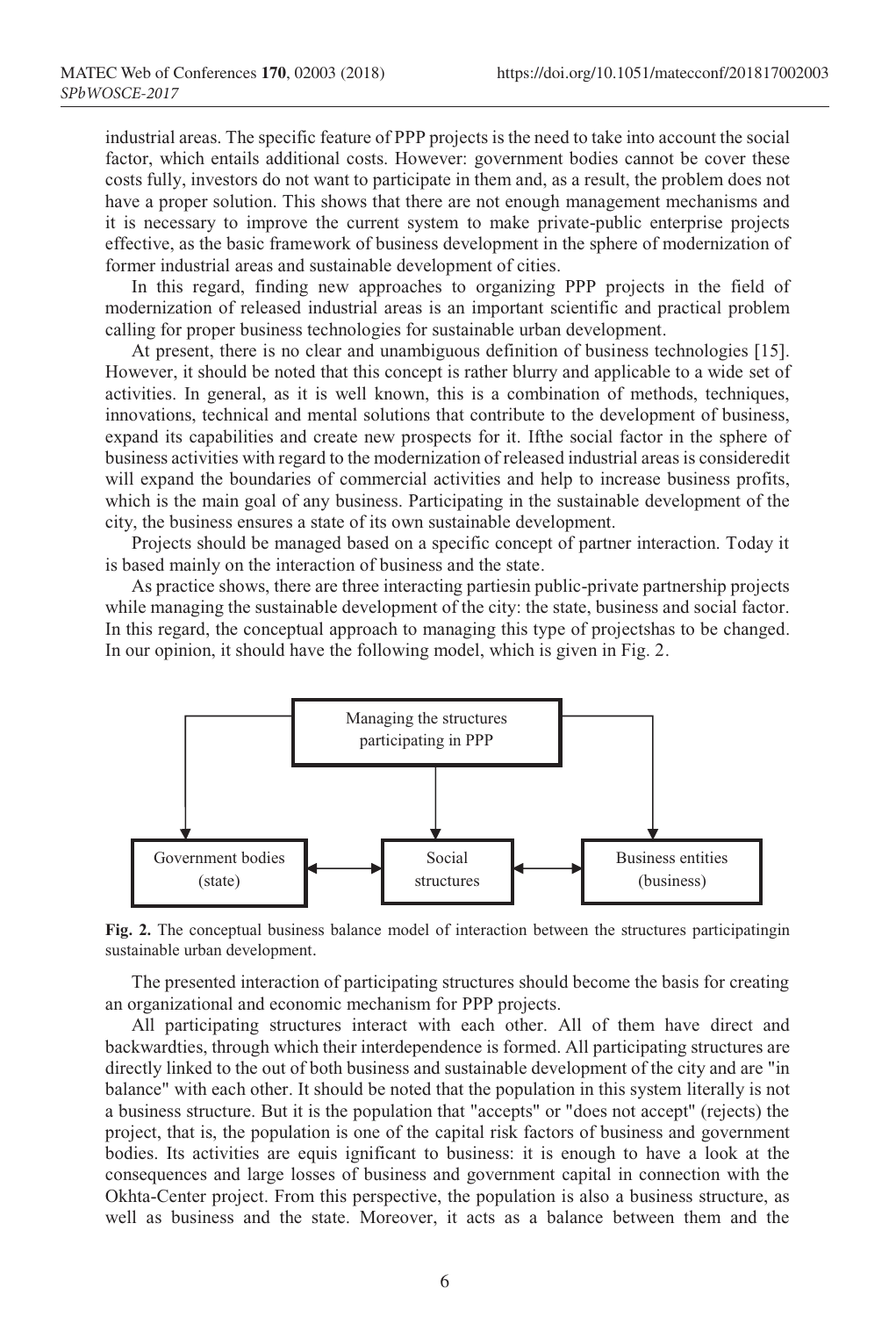industrial areas. The specific feature of PPP projects is the need to take into account the social factor, which entails additional costs. However: government bodies cannot be cover these costs fully, investors do not want to participate in them and, as a result, the problem does not have a proper solution. This shows that there are not enough management mechanisms and it is necessary to improve the current system to make private-public enterprise projects effective, as the basic framework of business development in the sphere of modernization of former industrial areas and sustainable development of cities.

In this regard, finding new approaches to organizing PPP projects in the field of modernization of released industrial areas is an important scientific and practical problem calling for proper business technologies for sustainable urban development.

At present, there is no clear and unambiguous definition of business technologies [15]. However, it should be noted that this concept is rather blurry and applicable to a wide set of activities. In general, as it is well known, this is a combination of methods, techniques, innovations, technical and mental solutions that contribute to the development of business, expand its capabilities and create new prospects for it. Ifthe social factor in the sphere of business activities with regard to the modernization of released industrial areas is consideredit will expand the boundaries of commercial activities and help to increase business profits, which is the main goal of any business. Participating in the sustainable development of the city, the business ensures a state of its own sustainable development.

Projects should be managed based on a specific concept of partner interaction. Today it is based mainly on the interaction of business and the state.

As practice shows, there are three interacting partiesin public-private partnership projects while managing the sustainable development of the city: the state, business and social factor. In this regard, the conceptual approach to managing this type of projectshas to be changed. In our opinion, it should have the following model, which is given in Fig. 2.



**Fig. 2.** The conceptual business balance model of interaction between the structures participatingin sustainable urban development.

The presented interaction of participating structures should become the basis for creating an organizational and economic mechanism for PPP projects.

All participating structures interact with each other. All of them have direct and backwardties, through which their interdependence is formed. All participating structures are directly linked to the out of both business and sustainable development of the city and are "in balance" with each other. It should be noted that the population in this system literally is not a business structure. But it is the population that "accepts" or "does not accept" (rejects) the project, that is, the population is one of the capital risk factors of business and government bodies. Its activities are equis ignificant to business: it is enough to have a look at the consequences and large losses of business and government capital in connection with the Okhta-Center project. From this perspective, the population is also a business structure, as well as business and the state. Moreover, it acts as a balance between them and the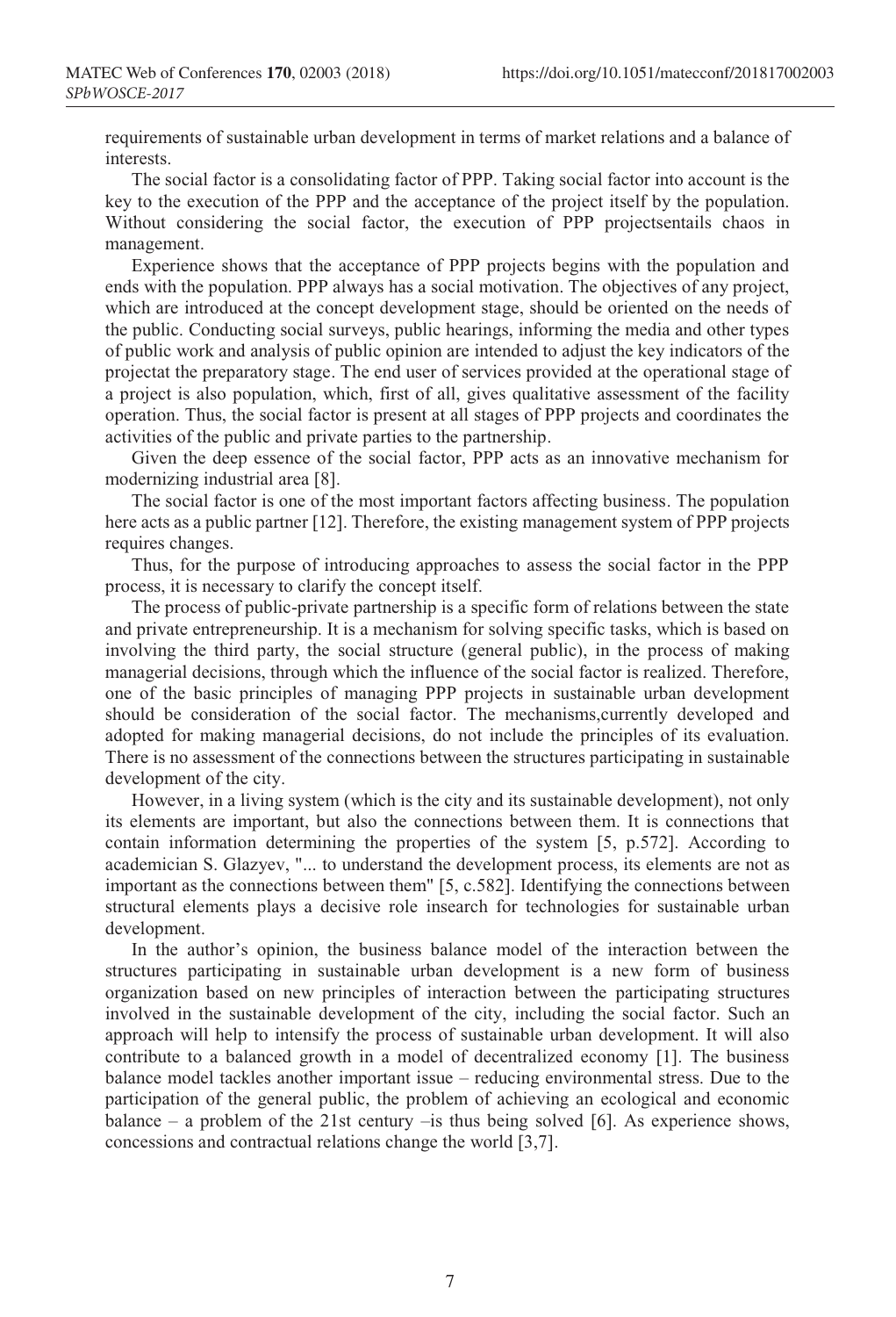requirements of sustainable urban development in terms of market relations and a balance of interests.

The social factor is a consolidating factor of PPP. Taking social factor into account is the key to the execution of the PPP and the acceptance of the project itself by the population. Without considering the social factor, the execution of PPP projectsentails chaos in management.

Experience shows that the acceptance of PPP projects begins with the population and ends with the population. PPP always has a social motivation. The objectives of any project, which are introduced at the concept development stage, should be oriented on the needs of the public. Conducting social surveys, public hearings, informing the media and other types of public work and analysis of public opinion are intended to adjust the key indicators of the projectat the preparatory stage. The end user of services provided at the operational stage of a project is also population, which, first of all, gives qualitative assessment of the facility operation. Thus, the social factor is present at all stages of PPP projects and coordinates the activities of the public and private parties to the partnership.

Given the deep essence of the social factor, PPP acts as an innovative mechanism for modernizing industrial area [8].

The social factor is one of the most important factors affecting business. The population here acts as a public partner [12]. Therefore, the existing management system of PPP projects requires changes.

Thus, for the purpose of introducing approaches to assess the social factor in the PPP process, it is necessary to clarify the concept itself.

The process of public-private partnership is a specific form of relations between the state and private entrepreneurship. It is a mechanism for solving specific tasks, which is based on involving the third party, the social structure (general public), in the process of making managerial decisions, through which the influence of the social factor is realized. Therefore, one of the basic principles of managing PPP projects in sustainable urban development should be consideration of the social factor. The mechanisms,currently developed and adopted for making managerial decisions, do not include the principles of its evaluation. There is no assessment of the connections between the structures participating in sustainable development of the city.

However, in a living system (which is the city and its sustainable development), not only its elements are important, but also the connections between them. It is connections that contain information determining the properties of the system [5, p.572]. According to academician S. Glazyev, "... to understand the development process, its elements are not as important as the connections between them" [5, c.582]. Identifying the connections between structural elements plays a decisive role insearch for technologies for sustainable urban development.

In the author's opinion, the business balance model of the interaction between the structures participating in sustainable urban development is a new form of business organization based on new principles of interaction between the participating structures involved in the sustainable development of the city, including the social factor. Such an approach will help to intensify the process of sustainable urban development. It will also contribute to a balanced growth in a model of decentralized economy [1]. The business balance model tackles another important issue – reducing environmental stress. Due to the participation of the general public, the problem of achieving an ecological and economic balance – a problem of the 21st century –is thus being solved [6]. As experience shows, concessions and contractual relations change the world [3,7].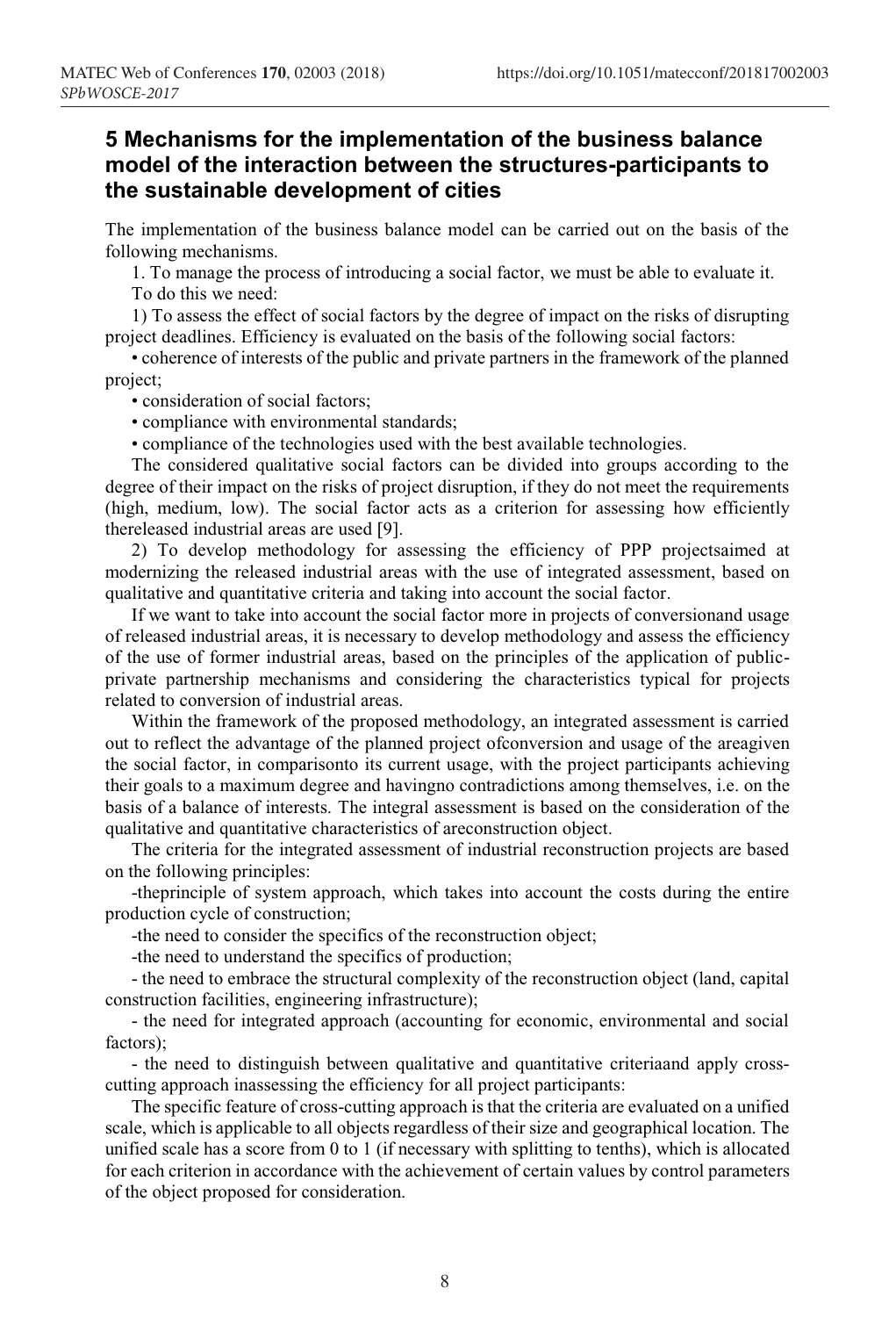# **5 Mechanisms for the implementation of the business balance model of the interaction between the structures-participants to the sustainable development of cities**

The implementation of the business balance model can be carried out on the basis of the following mechanisms.

1. To manage the process of introducing a social factor, we must be able to evaluate it. To do this we need:

1) To assess the effect of social factors by the degree of impact on the risks of disrupting project deadlines. Efficiency is evaluated on the basis of the following social factors:

• coherence of interests of the public and private partners in the framework of the planned project;

• consideration of social factors;

• compliance with environmental standards;

• compliance of the technologies used with the best available technologies.

The considered qualitative social factors can be divided into groups according to the degree of their impact on the risks of project disruption, if they do not meet the requirements (high, medium, low). The social factor acts as a criterion for assessing how efficiently thereleased industrial areas are used [9].

2) To develop methodology for assessing the efficiency of PPP projectsaimed at modernizing the released industrial areas with the use of integrated assessment, based on qualitative and quantitative criteria and taking into account the social factor.

If we want to take into account the social factor more in projects of conversionand usage of released industrial areas, it is necessary to develop methodology and assess the efficiency of the use of former industrial areas, based on the principles of the application of publicprivate partnership mechanisms and considering the characteristics typical for projects related to conversion of industrial areas.

Within the framework of the proposed methodology, an integrated assessment is carried out to reflect the advantage of the planned project ofconversion and usage of the areagiven the social factor, in comparisonto its current usage, with the project participants achieving their goals to a maximum degree and havingno contradictions among themselves, i.e. on the basis of a balance of interests. The integral assessment is based on the consideration of the qualitative and quantitative characteristics of areconstruction object.

The criteria for the integrated assessment of industrial reconstruction projects are based on the following principles:

-theprinciple of system approach, which takes into account the costs during the entire production cycle of construction;

-the need to consider the specifics of the reconstruction object;

-the need to understand the specifics of production;

- the need to embrace the structural complexity of the reconstruction object (land, capital construction facilities, engineering infrastructure);

- the need for integrated approach (accounting for economic, environmental and social factors);

- the need to distinguish between qualitative and quantitative criteriaand apply crosscutting approach inassessing the efficiency for all project participants:

The specific feature of cross-cutting approach is that the criteria are evaluated on a unified scale, which is applicable to all objects regardless of their size and geographical location. The unified scale has a score from 0 to 1 (if necessary with splitting to tenths), which is allocated for each criterion in accordance with the achievement of certain values by control parameters of the object proposed for consideration.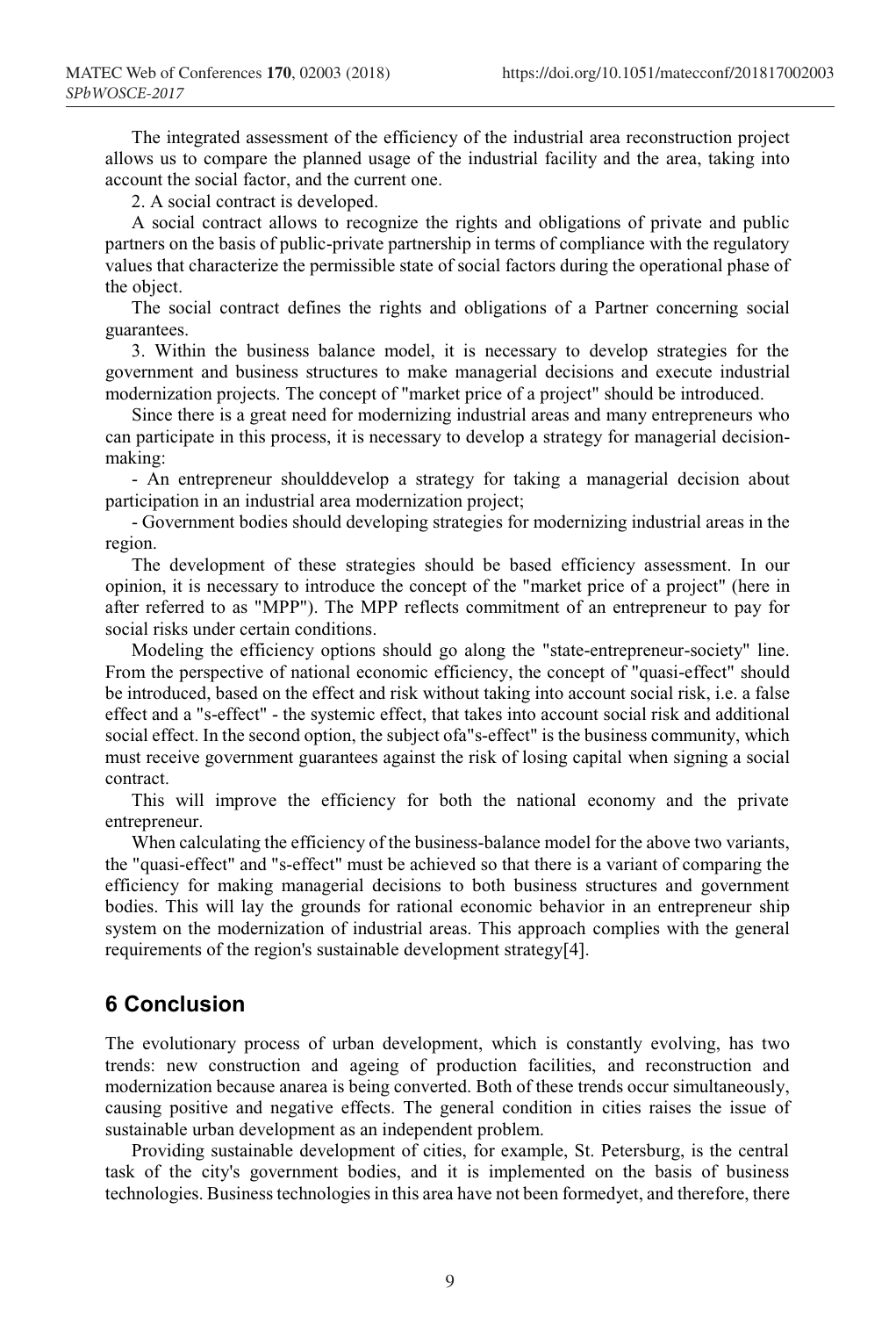The integrated assessment of the efficiency of the industrial area reconstruction project allows us to compare the planned usage of the industrial facility and the area, taking into account the social factor, and the current one.

2. A social contract is developed.

A social contract allows to recognize the rights and obligations of private and public partners on the basis of public-private partnership in terms of compliance with the regulatory values that characterize the permissible state of social factors during the operational phase of the object.

The social contract defines the rights and obligations of a Partner concerning social guarantees.

3. Within the business balance model, it is necessary to develop strategies for the government and business structures to make managerial decisions and execute industrial modernization projects. The concept of "market price of a project" should be introduced.

Since there is a great need for modernizing industrial areas and many entrepreneurs who can participate in this process, it is necessary to develop a strategy for managerial decisionmaking:

- An entrepreneur shoulddevelop a strategy for taking a managerial decision about participation in an industrial area modernization project;

- Government bodies should developing strategies for modernizing industrial areas in the region.

The development of these strategies should be based efficiency assessment. In our opinion, it is necessary to introduce the concept of the "market price of a project" (here in after referred to as "MPP"). The MPP reflects commitment of an entrepreneur to pay for social risks under certain conditions.

Modeling the efficiency options should go along the "state-entrepreneur-society" line. From the perspective of national economic efficiency, the concept of "quasi-effect" should be introduced, based on the effect and risk without taking into account social risk, i.e. a false effect and a "s-effect" - the systemic effect, that takes into account social risk and additional social effect. In the second option, the subject ofa"s-effect" is the business community, which must receive government guarantees against the risk of losing capital when signing a social contract.

This will improve the efficiency for both the national economy and the private entrepreneur.

When calculating the efficiency of the business-balance model for the above two variants, the "quasi-effect" and "s-effect" must be achieved so that there is a variant of comparing the efficiency for making managerial decisions to both business structures and government bodies. This will lay the grounds for rational economic behavior in an entrepreneur ship system on the modernization of industrial areas. This approach complies with the general requirements of the region's sustainable development strategy[4].

## **6 Conclusion**

The evolutionary process of urban development, which is constantly evolving, has two trends: new construction and ageing of production facilities, and reconstruction and modernization because anarea is being converted. Both of these trends occur simultaneously, causing positive and negative effects. The general condition in cities raises the issue of sustainable urban development as an independent problem.

Providing sustainable development of cities, for example, St. Petersburg, is the central task of the city's government bodies, and it is implemented on the basis of business technologies. Business technologies in this area have not been formedyet, and therefore, there